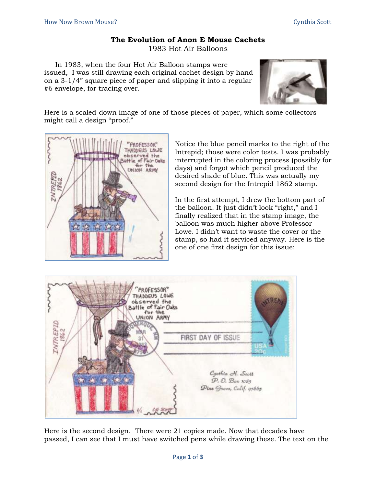## **The Evolution of Anon E Mouse Cachets**

1983 Hot Air Balloons

In 1983, when the four Hot Air Balloon stamps were issued, I was still drawing each original cachet design by hand on a 3-1/4" square piece of paper and slipping it into a regular #6 envelope, for tracing over.



Here is a scaled-down image of one of those pieces of paper, which some collectors might call a design "proof."



Notice the blue pencil marks to the right of the Intrepid; those were color tests. I was probably interrupted in the coloring process (possibly for days) and forgot which pencil produced the desired shade of blue. This was actually my second design for the Intrepid 1862 stamp.

In the first attempt, I drew the bottom part of the balloon. It just didn't look "right," and I finally realized that in the stamp image, the balloon was much higher above Professor Lowe. I didn't want to waste the cover or the stamp, so had it serviced anyway. Here is the one of one first design for this issue:



Here is the second design. There were 21 copies made. Now that decades have passed, I can see that I must have switched pens while drawing these. The text on the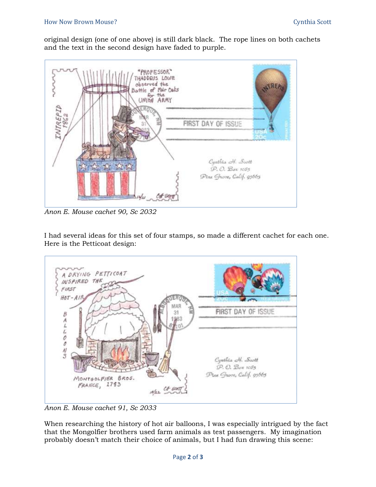original design (one of one above) is still dark black. The rope lines on both cachets and the text in the second design have faded to purple.



*Anon E. Mouse cachet 90, Sc 2032*

I had several ideas for this set of four stamps, so made a different cachet for each one. Here is the Petticoat design:



*Anon E. Mouse cachet 91, Sc 2033*

When researching the history of hot air balloons, I was especially intrigued by the fact that the Mongolfier brothers used farm animals as test passengers. My imagination probably doesn't match their choice of animals, but I had fun drawing this scene: